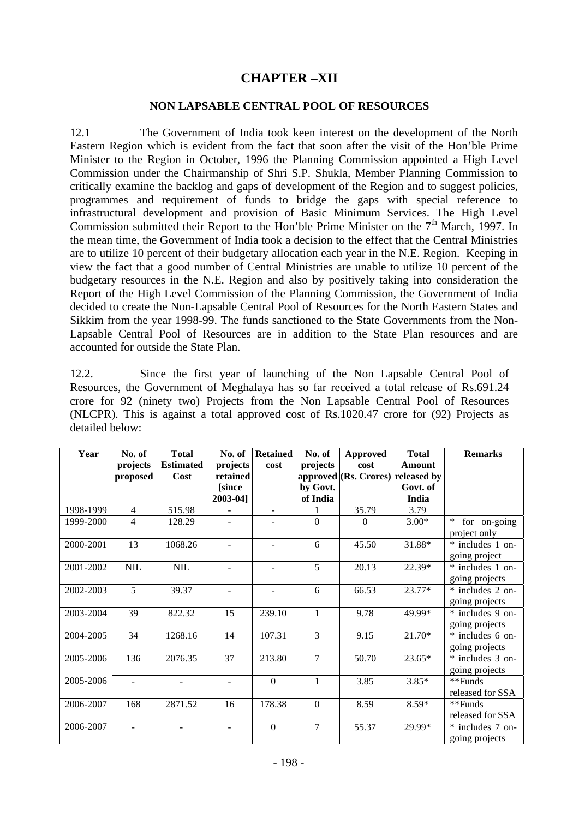## **CHAPTER –XII**

## **NON LAPSABLE CENTRAL POOL OF RESOURCES**

12.1 The Government of India took keen interest on the development of the North Eastern Region which is evident from the fact that soon after the visit of the Hon'ble Prime Minister to the Region in October, 1996 the Planning Commission appointed a High Level Commission under the Chairmanship of Shri S.P. Shukla, Member Planning Commission to critically examine the backlog and gaps of development of the Region and to suggest policies, programmes and requirement of funds to bridge the gaps with special reference to infrastructural development and provision of Basic Minimum Services. The High Level Commission submitted their Report to the Hon'ble Prime Minister on the 7<sup>th</sup> March, 1997. In the mean time, the Government of India took a decision to the effect that the Central Ministries are to utilize 10 percent of their budgetary allocation each year in the N.E. Region. Keeping in view the fact that a good number of Central Ministries are unable to utilize 10 percent of the budgetary resources in the N.E. Region and also by positively taking into consideration the Report of the High Level Commission of the Planning Commission, the Government of India decided to create the Non-Lapsable Central Pool of Resources for the North Eastern States and Sikkim from the year 1998-99. The funds sanctioned to the State Governments from the Non-Lapsable Central Pool of Resources are in addition to the State Plan resources and are accounted for outside the State Plan.

12.2. Since the first year of launching of the Non Lapsable Central Pool of Resources, the Government of Meghalaya has so far received a total release of Rs.691.24 crore for 92 (ninety two) Projects from the Non Lapsable Central Pool of Resources (NLCPR). This is against a total approved cost of Rs.1020.47 crore for (92) Projects as detailed below:

| Year      | No. of         | <b>Total</b>     | No. of         | <b>Retained</b>          | No. of         | <b>Approved</b> | <b>Total</b>                      | <b>Remarks</b>         |
|-----------|----------------|------------------|----------------|--------------------------|----------------|-----------------|-----------------------------------|------------------------|
|           | projects       | <b>Estimated</b> | projects       | cost                     | projects       | cost            | <b>Amount</b>                     |                        |
|           | proposed       | Cost             | retained       |                          |                |                 | approved (Rs. Crores) released by |                        |
|           |                |                  | [since         |                          | by Govt.       |                 | Govt. of                          |                        |
|           |                |                  | 2003-04]       |                          | of India       |                 | India                             |                        |
| 1998-1999 | $\overline{4}$ | 515.98           |                | ÷.                       |                | 35.79           | 3.79                              |                        |
| 1999-2000 | $\overline{4}$ | 128.29           |                |                          | $\overline{0}$ | $\Omega$        | $3.00*$                           | $\ast$<br>for on-going |
|           |                |                  |                |                          |                |                 |                                   | project only           |
| 2000-2001 | 13             | 1068.26          | $\overline{a}$ | $\blacksquare$           | 6              | 45.50           | 31.88*                            | * includes 1 on-       |
|           |                |                  |                |                          |                |                 |                                   | going project          |
| 2001-2002 | $\text{NIL}$   | $\text{NIL}$     |                | $\overline{\phantom{0}}$ | 5              | 20.13           | 22.39*                            | * includes 1 on-       |
|           |                |                  |                |                          |                |                 |                                   | going projects         |
| 2002-2003 | 5              | 39.37            |                |                          | 6              | 66.53           | 23.77*                            | * includes 2 on-       |
|           |                |                  |                |                          |                |                 |                                   | going projects         |
| 2003-2004 | 39             | 822.32           | 15             | 239.10                   | 1              | 9.78            | 49.99*                            | * includes 9 on-       |
|           |                |                  |                |                          |                |                 |                                   | going projects         |
| 2004-2005 | 34             | 1268.16          | 14             | 107.31                   | 3              | 9.15            | $21.70*$                          | * includes 6 on-       |
|           |                |                  |                |                          |                |                 |                                   | going projects         |
| 2005-2006 | 136            | 2076.35          | 37             | 213.80                   | $\overline{7}$ | 50.70           | 23.65*                            | * includes 3 on-       |
|           |                |                  |                |                          |                |                 |                                   | going projects         |
| 2005-2006 |                |                  | $\blacksquare$ | $\Omega$                 | $\mathbf{1}$   | 3.85            | $3.85*$                           | **Funds                |
|           |                |                  |                |                          |                |                 |                                   | released for SSA       |
| 2006-2007 | 168            | 2871.52          | 16             | 178.38                   | $\overline{0}$ | 8.59            | $8.59*$                           | **Funds                |
|           |                |                  |                |                          |                |                 |                                   | released for SSA       |
| 2006-2007 |                |                  | $\mathbf{r}$   | $\mathbf{0}$             | $\overline{7}$ | 55.37           | 29.99*                            | * includes 7 on-       |
|           |                |                  |                |                          |                |                 |                                   | going projects         |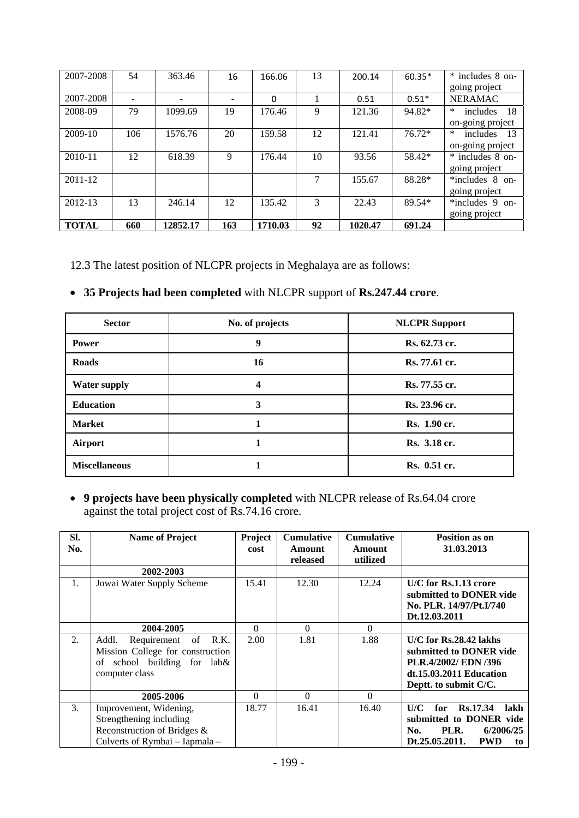| 2007-2008    | 54  | 363.46   | 16  | 166.06   | 13 | 200.14  | $60.35*$ | * includes 8 on-         |
|--------------|-----|----------|-----|----------|----|---------|----------|--------------------------|
|              |     |          |     |          |    |         |          | going project            |
| 2007-2008    |     |          |     | $\Omega$ |    | 0.51    | $0.51*$  | <b>NERAMAC</b>           |
| 2008-09      | 79  | 1099.69  | 19  | 176.46   | 9  | 121.36  | 94.82*   | ∗<br>18<br>includes      |
|              |     |          |     |          |    |         |          | on-going project         |
| $2009-10$    | 106 | 1576.76  | 20  | 159.58   | 12 | 121.41  | 76.72*   | $\ast$<br>includes<br>13 |
|              |     |          |     |          |    |         |          | on-going project         |
| 2010-11      | 12  | 618.39   | 9   | 176.44   | 10 | 93.56   | 58.42*   | * includes 8 on-         |
|              |     |          |     |          |    |         |          | going project            |
| 2011-12      |     |          |     |          | 7  | 155.67  | 88.28*   | $*$ includes 8 on-       |
|              |     |          |     |          |    |         |          | going project            |
| 2012-13      | 13  | 246.14   | 12  | 135.42   | 3  | 22.43   | 89.54*   | $*$ includes 9 on-       |
|              |     |          |     |          |    |         |          | going project            |
| <b>TOTAL</b> | 660 | 12852.17 | 163 | 1710.03  | 92 | 1020.47 | 691.24   |                          |

12.3 The latest position of NLCPR projects in Meghalaya are as follows:

|  |  | • 35 Projects had been completed with NLCPR support of Rs.247.44 crore. |  |
|--|--|-------------------------------------------------------------------------|--|
|--|--|-------------------------------------------------------------------------|--|

| <b>Sector</b>        | No. of projects | <b>NLCPR</b> Support |
|----------------------|-----------------|----------------------|
| <b>Power</b>         | 9               | Rs. 62.73 cr.        |
| <b>Roads</b>         | 16              | Rs. 77.61 cr.        |
| <b>Water supply</b>  | 4               | Rs. 77.55 cr.        |
| <b>Education</b>     | 3               | Rs. 23.96 cr.        |
| <b>Market</b>        |                 | Rs. 1.90 cr.         |
| Airport              |                 | Rs. 3.18 cr.         |
| <b>Miscellaneous</b> |                 | Rs. 0.51 cr.         |

 **9 projects have been physically completed** with NLCPR release of Rs.64.04 crore against the total project cost of Rs.74.16 crore.

| SI.<br>No. | <b>Name of Project</b>                                                                                             | Project<br>cost | <b>Cumulative</b><br><b>Amount</b><br>released | <b>Cumulative</b><br>Amount<br>utilized | Position as on<br>31.03.2013                                                                                                    |
|------------|--------------------------------------------------------------------------------------------------------------------|-----------------|------------------------------------------------|-----------------------------------------|---------------------------------------------------------------------------------------------------------------------------------|
|            | 2002-2003                                                                                                          |                 |                                                |                                         |                                                                                                                                 |
| 1.         | Jowai Water Supply Scheme                                                                                          | 15.41           | 12.30                                          | 12.24                                   | U/C for Rs.1.13 crore<br>submitted to DONER vide<br>No. PLR. 14/97/Pt.I/740<br>Dt.12.03.2011                                    |
|            | 2004-2005                                                                                                          | $\Omega$        | $\Omega$                                       | $\Omega$                                |                                                                                                                                 |
| 2.         | Requirement of R.K.<br>Addl.<br>Mission College for construction<br>of school building for lab&<br>computer class  | 2.00            | 1.81                                           | 1.88                                    | $U/C$ for Rs.28.42 lakhs<br>submitted to DONER vide<br>PLR.4/2002/ EDN /396<br>dt.15.03.2011 Education<br>Deptt. to submit C/C. |
|            | 2005-2006                                                                                                          | $\Omega$        | $\Omega$                                       | $\Omega$                                |                                                                                                                                 |
| 3.         | Improvement, Widening,<br>Strengthening including<br>Reconstruction of Bridges &<br>Culverts of Rymbai – Iapmala – | 18.77           | 16.41                                          | 16.40                                   | Rs.17.34<br>lakh<br>U/C<br>for<br>submitted to DONER vide<br>PLR.<br>6/2006/25<br>No.<br>Dt.25.05.2011.<br><b>PWD</b><br>to     |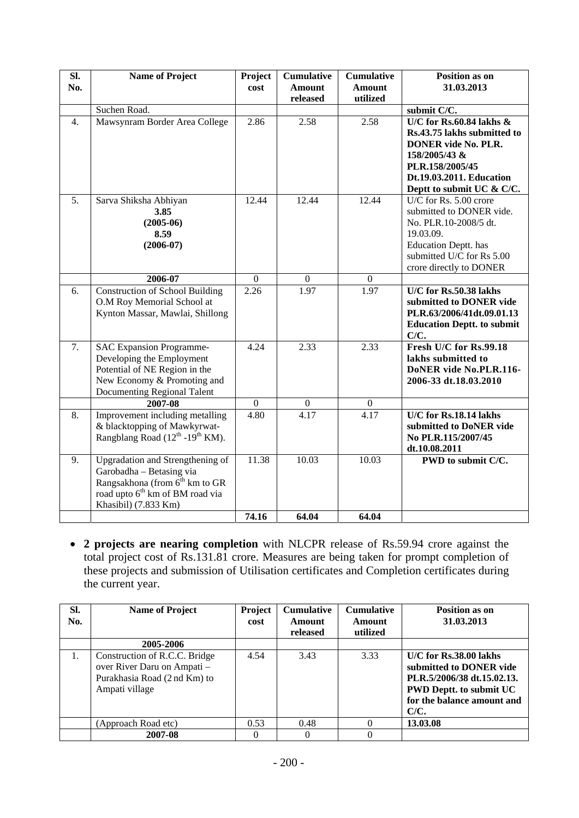|                  |                                                                                                                                                                                  | cost             | <b>Amount</b><br>released | <b>Amount</b><br>utilized | 31.03.2013                                                                                                                                                                            |
|------------------|----------------------------------------------------------------------------------------------------------------------------------------------------------------------------------|------------------|---------------------------|---------------------------|---------------------------------------------------------------------------------------------------------------------------------------------------------------------------------------|
|                  | Suchen Road.                                                                                                                                                                     |                  |                           |                           | submit C/C.                                                                                                                                                                           |
| 4.               | Mawsynram Border Area College                                                                                                                                                    | 2.86             | 2.58                      | 2.58                      | U/C for Rs.60.84 lakhs $\&$<br>Rs.43.75 lakhs submitted to<br><b>DONER</b> vide No. PLR.<br>158/2005/43 &<br>PLR.158/2005/45<br>Dt.19.03.2011. Education<br>Deptt to submit UC & C/C. |
| $\overline{5}$ . | Sarva Shiksha Abhiyan<br>3.85<br>$(2005-06)$<br>8.59<br>$(2006-07)$                                                                                                              | 12.44            | 12.44                     | 12.44                     | U/C for Rs. 5.00 crore<br>submitted to DONER vide.<br>No. PLR.10-2008/5 dt.<br>19.03.09.<br><b>Education Deptt.</b> has<br>submitted U/C for Rs 5.00<br>crore directly to DONER       |
|                  | 2006-07                                                                                                                                                                          | $\mathbf{0}$     | $\boldsymbol{0}$          | $\mathbf{0}$              |                                                                                                                                                                                       |
| 6.               | <b>Construction of School Building</b><br>O.M Roy Memorial School at<br>Kynton Massar, Mawlai, Shillong                                                                          | 2.26             | 1.97                      | 1.97                      | U/C for Rs.50.38 lakhs<br>submitted to DONER vide<br>PLR.63/2006/41dt.09.01.13<br><b>Education Deptt. to submit</b><br>C/C.                                                           |
| 7.               | <b>SAC Expansion Programme-</b><br>Developing the Employment<br>Potential of NE Region in the<br>New Economy & Promoting and<br>Documenting Regional Talent                      | 4.24             | 2.33                      | 2.33                      | Fresh U/C for Rs.99.18<br>lakhs submitted to<br>DoNER vide No.PLR.116-<br>2006-33 dt.18.03.2010                                                                                       |
|                  | 2007-08                                                                                                                                                                          | $\boldsymbol{0}$ | $\boldsymbol{0}$          | $\boldsymbol{0}$          |                                                                                                                                                                                       |
| 8.               | Improvement including metalling<br>& blacktopping of Mawkyrwat-<br>Rangblang Road $(12^{th} - 19^{th}$ KM).                                                                      | 4.80             | 4.17                      | 4.17                      | U/C for Rs.18.14 lakhs<br>submitted to DoNER vide<br>No PLR.115/2007/45<br>dt.10.08.2011                                                                                              |
| 9.               | Upgradation and Strengthening of<br>Garobadha - Betasing via<br>Rangsakhona (from $\bar{6}^{th}$ km to GR<br>road upto 6 <sup>th</sup> km of BM road via<br>Khasibil) (7.833 Km) | 11.38<br>74.16   | 10.03<br>64.04            | 10.03<br>64.04            | PWD to submit C/C.                                                                                                                                                                    |

 **2 projects are nearing completion** with NLCPR release of Rs.59.94 crore against the total project cost of Rs.131.81 crore. Measures are being taken for prompt completion of these projects and submission of Utilisation certificates and Completion certificates during the current year.

| SI.<br>No. | <b>Name of Project</b>                                                                                         | Project<br>cost | <b>Cumulative</b><br>Amount<br>released | <b>Cumulative</b><br>Amount<br>utilized | Position as on<br>31.03.2013                                                                                                                            |
|------------|----------------------------------------------------------------------------------------------------------------|-----------------|-----------------------------------------|-----------------------------------------|---------------------------------------------------------------------------------------------------------------------------------------------------------|
|            | 2005-2006                                                                                                      |                 |                                         |                                         |                                                                                                                                                         |
| Ι.         | Construction of R.C.C. Bridge<br>over River Daru on Ampati -<br>Purakhasia Road (2 nd Km) to<br>Ampati village | 4.54            | 3.43                                    | 3.33                                    | U/C for Rs.38.00 lakhs<br>submitted to DONER vide<br>PLR.5/2006/38 dt.15.02.13.<br><b>PWD Deptt. to submit UC</b><br>for the balance amount and<br>C/C. |
|            | (Approach Road etc)                                                                                            | 0.53            | 0.48                                    |                                         | 13.03.08                                                                                                                                                |
|            | 2007-08                                                                                                        |                 | $\Omega$                                |                                         |                                                                                                                                                         |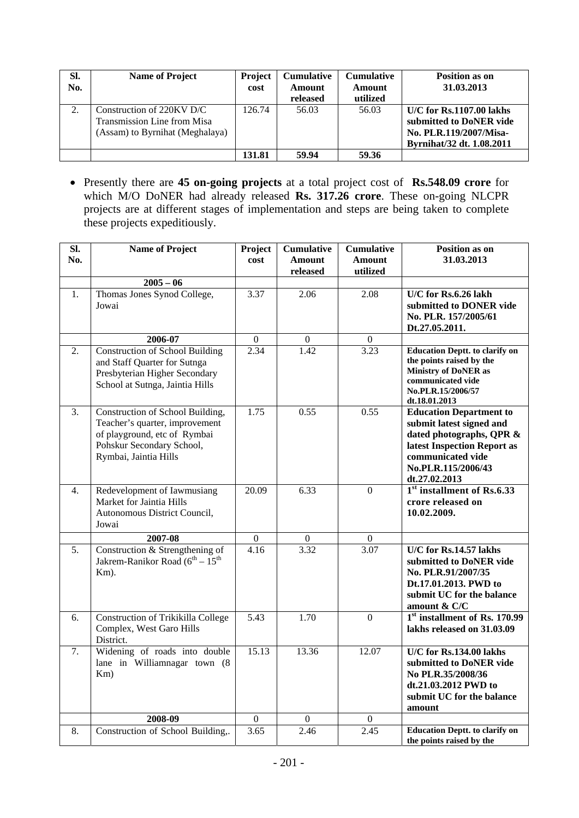| SI.<br>No. | <b>Name of Project</b>                                                                         | <b>Project</b><br>cost | <b>Cumulative</b><br>Amount<br>released | <b>Cumulative</b><br>Amount<br>utilized | <b>Position as on</b><br>31.03.2013                                                                          |
|------------|------------------------------------------------------------------------------------------------|------------------------|-----------------------------------------|-----------------------------------------|--------------------------------------------------------------------------------------------------------------|
| $\gamma$   | Construction of $220$ KV D/C<br>Transmission Line from Misa<br>(Assam) to Byrnihat (Meghalaya) | 126.74                 | 56.03                                   | 56.03                                   | $U/C$ for Rs.1107.00 lakhs<br>submitted to DoNER vide<br>No. PLR.119/2007/Misa-<br>Byrnihat/32 dt. 1.08.2011 |
|            |                                                                                                | 131.81                 | 59.94                                   | 59.36                                   |                                                                                                              |

 Presently there are **45 on-going projects** at a total project cost of **Rs.548.09 crore** for which M/O DoNER had already released **Rs. 317.26 crore**. These on-going NLCPR projects are at different stages of implementation and steps are being taken to complete these projects expeditiously.

| SI. | <b>Name of Project</b>                                                                                                                                   | Project          | <b>Cumulative</b>         | <b>Cumulative</b>         | Position as on                                                                                                                                                                    |
|-----|----------------------------------------------------------------------------------------------------------------------------------------------------------|------------------|---------------------------|---------------------------|-----------------------------------------------------------------------------------------------------------------------------------------------------------------------------------|
| No. |                                                                                                                                                          | cost             | <b>Amount</b><br>released | <b>Amount</b><br>utilized | 31.03.2013                                                                                                                                                                        |
|     | $2005 - 06$                                                                                                                                              |                  |                           |                           |                                                                                                                                                                                   |
| 1.  | Thomas Jones Synod College,<br>Jowai                                                                                                                     | 3.37             | 2.06                      | 2.08                      | U/C for Rs.6.26 lakh<br>submitted to DONER vide<br>No. PLR. 157/2005/61<br>Dt.27.05.2011.                                                                                         |
|     | 2006-07                                                                                                                                                  | $\boldsymbol{0}$ | $\overline{0}$            | $\overline{0}$            |                                                                                                                                                                                   |
| 2.  | <b>Construction of School Building</b><br>and Staff Quarter for Sutnga<br>Presbyterian Higher Secondary<br>School at Sutnga, Jaintia Hills               | 2.34             | 1.42                      | 3.23                      | <b>Education Deptt. to clarify on</b><br>the points raised by the<br><b>Ministry of DoNER as</b><br>communicated vide<br>No.PLR.15/2006/57<br>dt.18.01.2013                       |
| 3.  | Construction of School Building,<br>Teacher's quarter, improvement<br>of playground, etc of Rymbai<br>Pohskur Secondary School,<br>Rymbai, Jaintia Hills | 1.75             | 0.55                      | 0.55                      | <b>Education Department to</b><br>submit latest signed and<br>dated photographs, QPR &<br>latest Inspection Report as<br>communicated vide<br>No.PLR.115/2006/43<br>dt.27.02.2013 |
| 4.  | Redevelopment of Iawmusiang<br>Market for Jaintia Hills<br>Autonomous District Council,<br>Jowai                                                         | 20.09            | 6.33                      | $\overline{0}$            | 1 <sup>st</sup> installment of Rs.6.33<br>crore released on<br>10.02.2009.                                                                                                        |
|     | 2007-08                                                                                                                                                  | $\boldsymbol{0}$ | $\boldsymbol{0}$          | $\boldsymbol{0}$          |                                                                                                                                                                                   |
| 5.  | Construction & Strengthening of<br>Jakrem-Ranikor Road $(6^{th} – 15^{th})$<br>Km).                                                                      | 4.16             | 3.32                      | 3.07                      | U/C for Rs.14.57 lakhs<br>submitted to DoNER vide<br>No. PLR.91/2007/35<br>Dt.17.01.2013. PWD to<br>submit UC for the balance<br>amount & C/C                                     |
| 6.  | <b>Construction of Trikikilla College</b><br>Complex, West Garo Hills<br>District.                                                                       | 5.43             | $\overline{1.70}$         | $\mathbf{0}$              | $1st$ installment of Rs. 170.99<br>lakhs released on 31.03.09                                                                                                                     |
| 7.  | Widening of roads into double<br>lane in Williamnagar town (8)<br>Km)                                                                                    | 15.13            | 13.36                     | 12.07                     | U/C for Rs.134.00 lakhs<br>submitted to DoNER vide<br>No PLR.35/2008/36<br>dt.21.03.2012 PWD to<br>submit UC for the balance<br>amount                                            |
|     | 2008-09                                                                                                                                                  | $\overline{0}$   | $\boldsymbol{0}$          | $\boldsymbol{0}$          |                                                                                                                                                                                   |
| 8.  | Construction of School Building,.                                                                                                                        | 3.65             | 2.46                      | $\overline{2.45}$         | <b>Education Deptt. to clarify on</b><br>the points raised by the                                                                                                                 |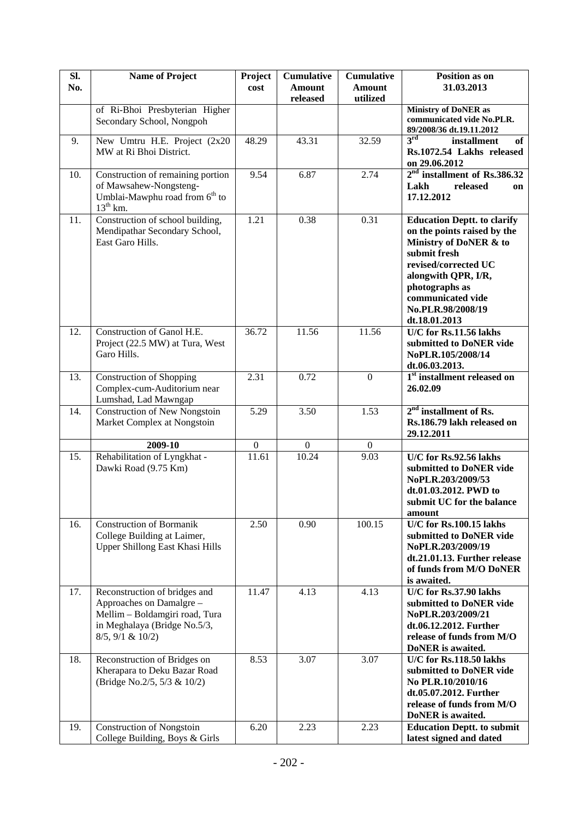| SI. | <b>Name of Project</b>                                                                                                                          | Project          | <b>Cumulative</b>         | <b>Cumulative</b>         | <b>Position as on</b>                                                                                                                                                                                                                   |
|-----|-------------------------------------------------------------------------------------------------------------------------------------------------|------------------|---------------------------|---------------------------|-----------------------------------------------------------------------------------------------------------------------------------------------------------------------------------------------------------------------------------------|
| No. |                                                                                                                                                 | cost             | <b>Amount</b><br>released | <b>Amount</b><br>utilized | 31.03.2013                                                                                                                                                                                                                              |
|     | of Ri-Bhoi Presbyterian Higher<br>Secondary School, Nongpoh                                                                                     |                  |                           |                           | <b>Ministry of DoNER as</b><br>communicated vide No.PLR.<br>89/2008/36 dt.19.11.2012                                                                                                                                                    |
| 9.  | New Umtru H.E. Project (2x20<br>MW at Ri Bhoi District.                                                                                         | 48.29            | 43.31                     | 32.59                     | 3 <sup>rd</sup><br>installment<br>of<br>Rs.1072.54 Lakhs released<br>on 29.06.2012                                                                                                                                                      |
| 10. | Construction of remaining portion<br>of Mawsahew-Nongsteng-<br>Umblai-Mawphu road from 6 <sup>th</sup> to<br>$13^{th}$ km.                      | 9.54             | 6.87                      | 2.74                      | $2nd$ installment of Rs.386.32<br>released<br>Lakh<br>on<br>17.12.2012                                                                                                                                                                  |
| 11. | Construction of school building,<br>Mendipathar Secondary School,<br>East Garo Hills.                                                           | 1.21             | 0.38                      | 0.31                      | <b>Education Deptt. to clarify</b><br>on the points raised by the<br>Ministry of DoNER & to<br>submit fresh<br>revised/corrected UC<br>alongwith QPR, I/R,<br>photographs as<br>communicated vide<br>No.PLR.98/2008/19<br>dt.18.01.2013 |
| 12. | Construction of Ganol H.E.<br>Project (22.5 MW) at Tura, West<br>Garo Hills.                                                                    | 36.72            | 11.56                     | 11.56                     | U/C for Rs.11.56 lakhs<br>submitted to DoNER vide<br>NoPLR.105/2008/14<br>dt.06.03.2013.                                                                                                                                                |
| 13. | <b>Construction of Shopping</b><br>Complex-cum-Auditorium near<br>Lumshad, Lad Mawngap                                                          | 2.31             | 0.72                      | $\mathbf{0}$              | 1 <sup>st</sup> installment released on<br>26.02.09                                                                                                                                                                                     |
| 14. | <b>Construction of New Nongstoin</b><br>Market Complex at Nongstoin                                                                             | 5.29             | 3.50                      | 1.53                      | $2nd$ installment of Rs.<br>Rs.186.79 lakh released on<br>29.12.2011                                                                                                                                                                    |
|     | 2009-10                                                                                                                                         | $\boldsymbol{0}$ | $\mathbf{0}$              | $\boldsymbol{0}$          |                                                                                                                                                                                                                                         |
| 15. | Rehabilitation of Lyngkhat -<br>Dawki Road (9.75 Km)                                                                                            | 11.61            | 10.24                     | 9.03                      | U/C for Rs.92.56 lakhs<br>submitted to DoNER vide<br>NoPLR.203/2009/53<br>dt.01.03.2012. PWD to<br>submit UC for the balance<br>amount                                                                                                  |
| 16. | <b>Construction of Bormanik</b><br>College Building at Laimer,<br>Upper Shillong East Khasi Hills                                               | 2.50             | 0.90                      | 100.15                    | U/C for Rs.100.15 lakhs<br>submitted to DoNER vide<br>NoPLR.203/2009/19<br>dt.21.01.13. Further release<br>of funds from M/O DoNER<br>is awaited.                                                                                       |
| 17. | Reconstruction of bridges and<br>Approaches on Damalgre -<br>Mellim - Boldamgiri road, Tura<br>in Meghalaya (Bridge No.5/3,<br>8/5, 9/1 & 10/2) | 11.47            | 4.13                      | 4.13                      | U/C for Rs.37.90 lakhs<br>submitted to DoNER vide<br>NoPLR.203/2009/21<br>dt.06.12.2012. Further<br>release of funds from M/O<br>DoNER is awaited.                                                                                      |
| 18. | Reconstruction of Bridges on<br>Kherapara to Deku Bazar Road<br>(Bridge No.2/5, 5/3 & 10/2)                                                     | 8.53             | 3.07                      | 3.07                      | U/C for Rs.118.50 lakhs<br>submitted to DoNER vide<br>No PLR.10/2010/16<br>dt.05.07.2012. Further<br>release of funds from M/O<br>DoNER is awaited.                                                                                     |
| 19. | <b>Construction of Nongstoin</b><br>College Building, Boys & Girls                                                                              | 6.20             | 2.23                      | 2.23                      | <b>Education Deptt. to submit</b><br>latest signed and dated                                                                                                                                                                            |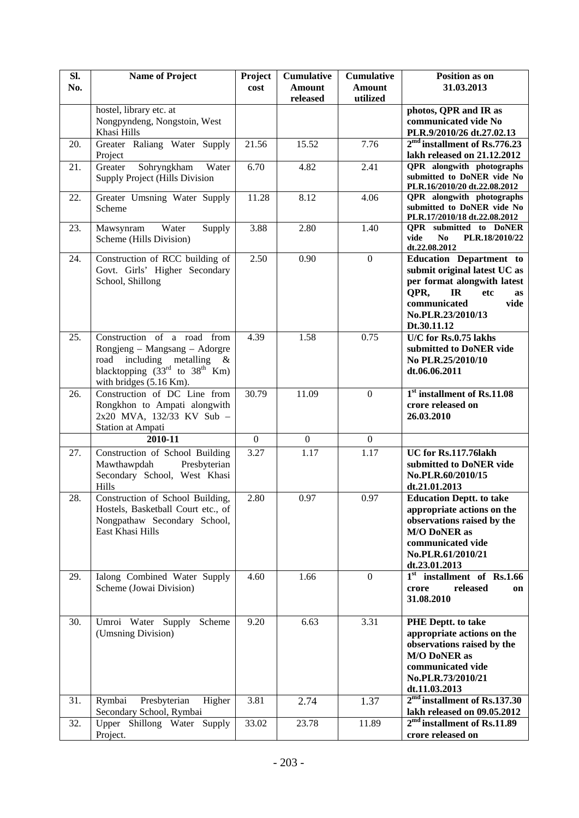| SI. | <b>Name of Project</b>                                            | Project           | <b>Cumulative</b>         | <b>Cumulative</b>         | Position as on                                                            |
|-----|-------------------------------------------------------------------|-------------------|---------------------------|---------------------------|---------------------------------------------------------------------------|
| No. |                                                                   | cost              | <b>Amount</b><br>released | <b>Amount</b><br>utilized | 31.03.2013                                                                |
|     | hostel, library etc. at                                           |                   |                           |                           | photos, QPR and IR as                                                     |
|     | Nongpyndeng, Nongstoin, West<br>Khasi Hills                       |                   |                           |                           | communicated vide No                                                      |
| 20. | Greater Raliang Water Supply                                      | 21.56             | 15.52                     | 7.76                      | PLR.9/2010/26 dt.27.02.13<br>$2md$ installment of Rs.776.23               |
|     | Project                                                           |                   |                           |                           | lakh released on 21.12.2012                                               |
| 21. | Sohryngkham<br>Water<br>Greater                                   | 6.70              | 4.82                      | 2.41                      | QPR alongwith photographs                                                 |
|     | Supply Project (Hills Division                                    |                   |                           |                           | submitted to DoNER vide No                                                |
| 22. | Greater Umsning Water Supply                                      | 11.28             | 8.12                      | 4.06                      | PLR.16/2010/20 dt.22.08.2012<br>QPR alongwith photographs                 |
|     | Scheme                                                            |                   |                           |                           | submitted to DoNER vide No                                                |
|     |                                                                   |                   |                           |                           | PLR.17/2010/18 dt.22.08.2012                                              |
| 23. | Water<br>Mawsynram<br>Supply<br>Scheme (Hills Division)           | 3.88              | 2.80                      | 1.40                      | <b>QPR</b> submitted to DoNER<br>vide<br>N <sub>0</sub><br>PLR.18/2010/22 |
|     |                                                                   |                   |                           |                           | dt.22.08.2012                                                             |
| 24. | Construction of RCC building of                                   | $\overline{2.50}$ | 0.90                      | $\mathbf{0}$              | <b>Education Department to</b>                                            |
|     | Govt. Girls' Higher Secondary                                     |                   |                           |                           | submit original latest UC as                                              |
|     | School, Shillong                                                  |                   |                           |                           | per format alongwith latest<br>QPR,<br>IR<br>etc<br><b>as</b>             |
|     |                                                                   |                   |                           |                           | communicated<br>vide                                                      |
|     |                                                                   |                   |                           |                           | No.PLR.23/2010/13                                                         |
|     |                                                                   |                   |                           |                           | Dt.30.11.12                                                               |
| 25. | Construction of a road<br>from                                    | 4.39              | 1.58                      | 0.75                      | $\overline{U/C}$ for Rs.0.75 lakhs                                        |
|     | Rongjeng – Mangsang – Adorgre<br>road<br>including metalling $\&$ |                   |                           |                           | submitted to DoNER vide<br>No PLR.25/2010/10                              |
|     | blacktopping $(33rd$ to $38th$ Km)                                |                   |                           |                           | dt.06.06.2011                                                             |
|     | with bridges (5.16 Km).                                           |                   |                           |                           |                                                                           |
| 26. | Construction of DC Line from                                      | 30.79             | 11.09                     | $\boldsymbol{0}$          | 1 <sup>st</sup> installment of Rs.11.08                                   |
|     | Rongkhon to Ampati alongwith<br>2x20 MVA, 132/33 KV Sub -         |                   |                           |                           | crore released on<br>26.03.2010                                           |
|     | Station at Ampati                                                 |                   |                           |                           |                                                                           |
|     | 2010-11                                                           | $\mathbf{0}$      | $\mathbf{0}$              | $\mathbf{0}$              |                                                                           |
| 27. | Construction of School Building                                   | 3.27              | $\overline{1.17}$         | 1.17                      | UC for Rs.117.76lakh                                                      |
|     | Mawthawpdah<br>Presbyterian                                       |                   |                           |                           | submitted to DoNER vide                                                   |
|     | Secondary School, West Khasi                                      |                   |                           |                           | No.PLR.60/2010/15                                                         |
| 28. | Hills<br>Construction of School Building,                         | 2.80              | 0.97                      | 0.97                      | dt.21.01.2013<br><b>Education Deptt. to take</b>                          |
|     | Hostels, Basketball Court etc., of                                |                   |                           |                           | appropriate actions on the                                                |
|     | Nongpathaw Secondary School,                                      |                   |                           |                           | observations raised by the                                                |
|     | East Khasi Hills                                                  |                   |                           |                           | <b>M/O DoNER as</b>                                                       |
|     |                                                                   |                   |                           |                           | communicated vide                                                         |
|     |                                                                   |                   |                           |                           | No.PLR.61/2010/21<br>dt.23.01.2013                                        |
| 29. | Ialong Combined Water Supply                                      | 4.60              | 1.66                      | $\boldsymbol{0}$          | 1 <sup>st</sup> installment of Rs.1.66                                    |
|     | Scheme (Jowai Division)                                           |                   |                           |                           | released<br>crore<br>on                                                   |
|     |                                                                   |                   |                           |                           | 31.08.2010                                                                |
| 30. | Umroi Water Supply<br>Scheme                                      | 9.20              | 6.63                      | 3.31                      | <b>PHE Deptt. to take</b>                                                 |
|     | (Umsning Division)                                                |                   |                           |                           | appropriate actions on the                                                |
|     |                                                                   |                   |                           |                           | observations raised by the                                                |
|     |                                                                   |                   |                           |                           | <b>M/O DoNER as</b><br>communicated vide                                  |
|     |                                                                   |                   |                           |                           | No.PLR.73/2010/21                                                         |
|     |                                                                   |                   |                           |                           | dt.11.03.2013                                                             |
| 31. | Presbyterian<br>Rymbai<br>Higher                                  | 3.81              | 2.74                      | 1.37                      | $2md$ installment of Rs.137.30                                            |
|     | Secondary School, Rymbai                                          |                   |                           |                           | lakh released on 09.05.2012                                               |
| 32. | Upper Shillong Water Supply                                       | 33.02             | 23.78                     | 11.89                     | $2md$ installment of Rs.11.89                                             |
|     | Project.                                                          |                   |                           |                           | crore released on                                                         |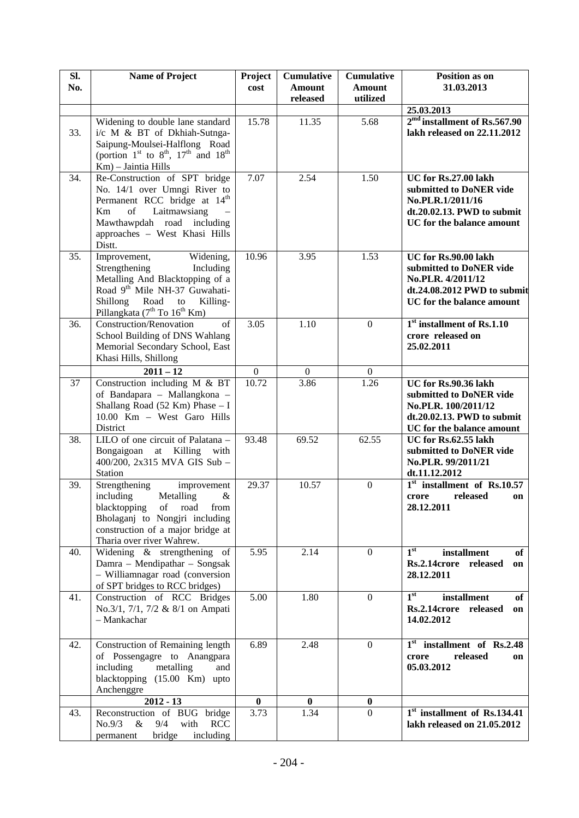| SI. | <b>Name of Project</b>                                                                                                                                                                                                              | Project          | <b>Cumulative</b>         | <b>Cumulative</b>         | Position as on                                                                                                                      |
|-----|-------------------------------------------------------------------------------------------------------------------------------------------------------------------------------------------------------------------------------------|------------------|---------------------------|---------------------------|-------------------------------------------------------------------------------------------------------------------------------------|
| No. |                                                                                                                                                                                                                                     | cost             | <b>Amount</b><br>released | <b>Amount</b><br>utilized | 31.03.2013                                                                                                                          |
|     |                                                                                                                                                                                                                                     |                  |                           |                           | 25.03.2013                                                                                                                          |
| 33. | Widening to double lane standard<br>i/c M & BT of Dkhiah-Sutnga-<br>Saipung-Moulsei-Halflong Road<br>(portion 1 <sup>st</sup> to 8 <sup>th</sup> , 17 <sup>th</sup> and 18 <sup>th</sup><br>Km) - Jaintia Hills                     | 15.78            | 11.35                     | 5.68                      | $2md$ installment of Rs.567.90<br>lakh released on 22.11.2012                                                                       |
| 34. | Re-Construction of SPT bridge<br>No. 14/1 over Umngi River to<br>Permanent RCC bridge at 14 <sup>th</sup><br>Laitmawsiang<br>Km<br>of<br>Mawthawpdah road including<br>approaches - West Khasi Hills<br>Distt.                      | 7.07             | 2.54                      | 1.50                      | UC for Rs.27.00 lakh<br>submitted to DoNER vide<br>No.PLR.1/2011/16<br>dt.20.02.13. PWD to submit<br>UC for the balance amount      |
| 35. | Improvement,<br>Widening,<br>Strengthening<br>Including<br>Metalling And Blacktopping of a<br>Road 9th Mile NH-37 Guwahati-<br>Shillong<br>Road<br>Killing-<br>$\,$ to $\,$<br>Pillangkata (7 <sup>th</sup> To 16 <sup>th</sup> Km) | 10.96            | 3.95                      | 1.53                      | UC for Rs.90.00 lakh<br>submitted to DoNER vide<br>No.PLR. 4/2011/12<br>dt.24.08.2012 PWD to submit<br>UC for the balance amount    |
| 36. | Construction/Renovation<br>of<br>School Building of DNS Wahlang<br>Memorial Secondary School, East<br>Khasi Hills, Shillong                                                                                                         | 3.05             | 1.10                      | $\mathbf{0}$              | 1 <sup>st</sup> installment of Rs.1.10<br>crore released on<br>25.02.2011                                                           |
|     | $2011 - 12$                                                                                                                                                                                                                         | $\boldsymbol{0}$ | $\boldsymbol{0}$          | $\boldsymbol{0}$          |                                                                                                                                     |
| 37  | Construction including M & BT<br>of Bandapara - Mallangkona -<br>Shallang Road (52 Km) Phase $- I$<br>10.00 Km - West Garo Hills<br>District                                                                                        | 10.72            | 3.86                      | 1.26                      | UC for Rs.90.36 lakh<br>submitted to DoNER vide<br>No.PLR. 100/2011/12<br>$dt.20.02.13. PWD$ to submit<br>UC for the balance amount |
| 38. | LILO of one circuit of Palatana -<br>at Killing with<br>Bongaigoan<br>400/200, 2x315 MVA GIS Sub -<br>Station                                                                                                                       | 93.48            | 69.52                     | 62.55                     | UC for Rs.62.55 lakh<br>submitted to DoNER vide<br>No.PLR. 99/2011/21<br>dt.11.12.2012                                              |
| 39. | Strengthening<br>improvement<br>including<br>Metalling<br>$\&$<br>blacktopping<br>of<br>road<br>from<br>Bholaganj to Nongjri including<br>construction of a major bridge at<br>Tharia over river Wahrew.                            | 29.37            | 10.57                     | $\boldsymbol{0}$          | $1st$ installment of Rs.10.57<br>released<br>crore<br>on<br>28.12.2011                                                              |
| 40. | Widening & strengthening of<br>Damra - Mendipathar - Songsak<br>- Williamnagar road (conversion<br>of SPT bridges to RCC bridges)                                                                                                   | 5.95             | 2.14                      | $\mathbf{0}$              | 1 <sup>st</sup><br>installment<br>of<br>Rs.2.14crore released<br>on<br>28.12.2011                                                   |
| 41. | Construction of RCC Bridges<br>No.3/1, 7/1, 7/2 & 8/1 on Ampati<br>- Mankachar                                                                                                                                                      | 5.00             | 1.80                      | $\Omega$                  | 1 <sup>st</sup><br>installment<br>of<br>Rs.2.14crore released<br>on<br>14.02.2012                                                   |
| 42. | Construction of Remaining length<br>of Possengagre to Anangpara<br>including<br>metalling<br>and<br>blacktopping (15.00 Km) upto<br>Anchenggre                                                                                      | 6.89             | 2.48                      | $\mathbf{0}$              | 1 <sup>st</sup> installment of Rs.2.48<br>released<br>crore<br>on<br>05.03.2012                                                     |
|     | $2012 - 13$                                                                                                                                                                                                                         | $\bf{0}$         | $\bf{0}$                  | $\bf{0}$                  |                                                                                                                                     |
| 43. | Reconstruction of BUG bridge<br>No.9/3<br>9/4<br>with<br><b>RCC</b><br>$\&$<br>including<br>bridge<br>permanent                                                                                                                     | 3.73             | 1.34                      | $\Omega$                  | $1st$ installment of Rs.134.41<br>lakh released on 21.05.2012                                                                       |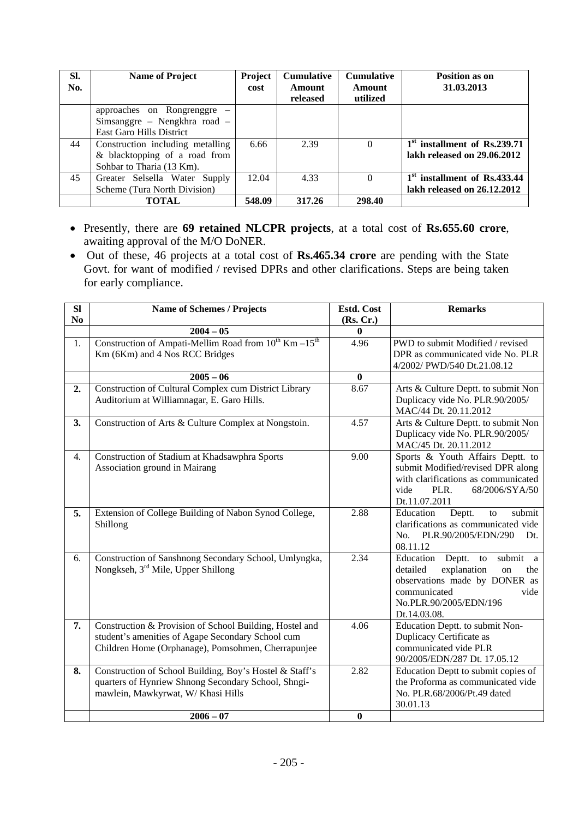| SI.<br>No. | <b>Name of Project</b>                                                                         | Project<br>cost | <b>Cumulative</b><br>Amount<br>released | <b>Cumulative</b><br>Amount<br>utilized | Position as on<br>31.03.2013                                            |
|------------|------------------------------------------------------------------------------------------------|-----------------|-----------------------------------------|-----------------------------------------|-------------------------------------------------------------------------|
|            | approaches on Rongrenggre<br>Simsanggre – Nengkhra road –<br><b>East Garo Hills District</b>   |                 |                                         |                                         |                                                                         |
| 44         | Construction including metalling<br>& blacktopping of a road from<br>Sohbar to Tharia (13 Km). | 6.66            | 2.39                                    | 0                                       | 1 <sup>st</sup> installment of Rs.239.71<br>lakh released on 29.06.2012 |
| 45         | Greater Selsella Water Supply<br>Scheme (Tura North Division)                                  | 12.04           | 4.33                                    | $\theta$                                | 1 <sup>st</sup> installment of Rs.433.44<br>lakh released on 26.12.2012 |
|            | TOTAL                                                                                          | 548.09          | 317.26                                  | 298.40                                  |                                                                         |

- Presently, there are **69 retained NLCPR projects**, at a total cost of **Rs.655.60 crore**, awaiting approval of the M/O DoNER.
- Out of these, 46 projects at a total cost of **Rs.465.34 crore** are pending with the State Govt. for want of modified / revised DPRs and other clarifications. Steps are being taken for early compliance.

| <b>SI</b>      | <b>Name of Schemes / Projects</b>                                                                                                                                  | Estd. Cost       | <b>Remarks</b>                                                                                                                                                                   |
|----------------|--------------------------------------------------------------------------------------------------------------------------------------------------------------------|------------------|----------------------------------------------------------------------------------------------------------------------------------------------------------------------------------|
| N <sub>0</sub> | $2004 - 05$                                                                                                                                                        | (Rs, Cr.)<br>0   |                                                                                                                                                                                  |
| 1.             | Construction of Ampati-Mellim Road from $10^{th}$ Km $-15^{th}$<br>Km (6Km) and 4 Nos RCC Bridges                                                                  | 4.96             | PWD to submit Modified / revised<br>DPR as communicated vide No. PLR<br>4/2002/ PWD/540 Dt.21.08.12                                                                              |
|                | $2005 - 06$                                                                                                                                                        | $\bf{0}$         |                                                                                                                                                                                  |
| 2.             | Construction of Cultural Complex cum District Library<br>Auditorium at Williamnagar, E. Garo Hills.                                                                | 8.67             | Arts & Culture Deptt. to submit Non<br>Duplicacy vide No. PLR.90/2005/<br>MAC/44 Dt. 20.11.2012                                                                                  |
| 3.             | Construction of Arts & Culture Complex at Nongstoin.                                                                                                               | 4.57             | Arts & Culture Deptt. to submit Non<br>Duplicacy vide No. PLR.90/2005/<br>MAC/45 Dt. 20.11.2012                                                                                  |
| 4.             | Construction of Stadium at Khadsawphra Sports<br>Association ground in Mairang                                                                                     | 9.00             | Sports & Youth Affairs Deptt. to<br>submit Modified/revised DPR along<br>with clarifications as communicated<br>PLR.<br>68/2006/SYA/50<br>vide<br>Dt.11.07.2011                  |
| 5.             | Extension of College Building of Nabon Synod College,<br>Shillong                                                                                                  | 2.88             | Deptt.<br>Education<br>submit<br>to<br>clarifications as communicated vide<br>PLR.90/2005/EDN/290<br>No.<br>Dt.<br>08.11.12                                                      |
| 6.             | Construction of Sanshnong Secondary School, Umlyngka,<br>Nongkseh, 3 <sup>rd</sup> Mile, Upper Shillong                                                            | 2.34             | Education Deptt.<br>submit<br>to<br>a<br>detailed<br>explanation<br>the<br>on<br>observations made by DONER as<br>communicated<br>vide<br>No.PLR.90/2005/EDN/196<br>Dt.14.03.08. |
| 7.             | Construction & Provision of School Building, Hostel and<br>student's amenities of Agape Secondary School cum<br>Children Home (Orphanage), Pomsohmen, Cherrapunjee | 4.06             | Education Deptt. to submit Non-<br>Duplicacy Certificate as<br>communicated vide PLR<br>90/2005/EDN/287 Dt. 17.05.12                                                             |
| 8.             | Construction of School Building, Boy's Hostel & Staff's<br>quarters of Hynriew Shnong Secondary School, Shngi-<br>mawlein, Mawkyrwat, W/Khasi Hills                | 2.82             | Education Deptt to submit copies of<br>the Proforma as communicated vide<br>No. PLR.68/2006/Pt.49 dated<br>30.01.13                                                              |
|                | $2006 - 07$                                                                                                                                                        | $\boldsymbol{0}$ |                                                                                                                                                                                  |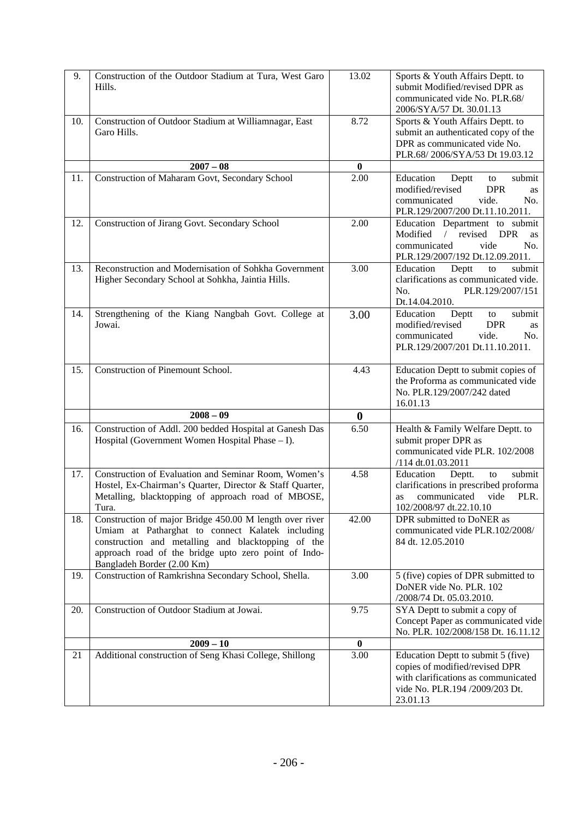| 9.  | Construction of the Outdoor Stadium at Tura, West Garo<br>Hills.                                                                                                                                                                                        | 13.02             | Sports & Youth Affairs Deptt. to<br>submit Modified/revised DPR as<br>communicated vide No. PLR.68/<br>2006/SYA/57 Dt. 30.01.13                           |
|-----|---------------------------------------------------------------------------------------------------------------------------------------------------------------------------------------------------------------------------------------------------------|-------------------|-----------------------------------------------------------------------------------------------------------------------------------------------------------|
| 10. | Construction of Outdoor Stadium at Williamnagar, East<br>Garo Hills.                                                                                                                                                                                    | 8.72              | Sports & Youth Affairs Deptt. to<br>submit an authenticated copy of the<br>DPR as communicated vide No.<br>PLR.68/2006/SYA/53 Dt 19.03.12                 |
|     | $2007 - 08$                                                                                                                                                                                                                                             | $\bf{0}$          |                                                                                                                                                           |
| 11. | Construction of Maharam Govt, Secondary School                                                                                                                                                                                                          | $\overline{2.00}$ | Education<br>Deptt<br>submit<br>to<br><b>DPR</b><br>modified/revised<br>as<br>communicated<br>vide.<br>No.<br>PLR.129/2007/200 Dt.11.10.2011.             |
| 12. | Construction of Jirang Govt. Secondary School                                                                                                                                                                                                           | 2.00              | Education Department to submit<br>/ revised<br><b>DPR</b><br>Modified<br>as<br>communicated<br>vide<br>No.<br>PLR.129/2007/192 Dt.12.09.2011.             |
| 13. | Reconstruction and Modernisation of Sohkha Government<br>Higher Secondary School at Sohkha, Jaintia Hills.                                                                                                                                              | 3.00              | Education<br>submit<br>Deptt<br>to<br>clarifications as communicated vide.<br>PLR.129/2007/151<br>No.<br>Dt.14.04.2010.                                   |
| 14. | Strengthening of the Kiang Nangbah Govt. College at<br>Jowai.                                                                                                                                                                                           | 3.00              | Education<br>Deptt<br>submit<br>to<br>modified/revised<br><b>DPR</b><br>as<br>communicated<br>vide.<br>No.<br>PLR.129/2007/201 Dt.11.10.2011.             |
| 15. | Construction of Pinemount School.                                                                                                                                                                                                                       | 4.43              | Education Deptt to submit copies of<br>the Proforma as communicated vide<br>No. PLR.129/2007/242 dated<br>16.01.13                                        |
|     | $2008 - 09$                                                                                                                                                                                                                                             | $\bf{0}$          |                                                                                                                                                           |
| 16. | Construction of Addl. 200 bedded Hospital at Ganesh Das<br>Hospital (Government Women Hospital Phase – I).                                                                                                                                              | 6.50              | Health & Family Welfare Deptt. to<br>submit proper DPR as<br>communicated vide PLR. 102/2008<br>/114 dt.01.03.2011                                        |
| 17. | Construction of Evaluation and Seminar Room, Women's<br>Hostel, Ex-Chairman's Quarter, Director & Staff Quarter,<br>Metalling, blacktopping of approach road of MBOSE,<br>Tura.                                                                         | 4.58              | submit<br>Education<br>Deptt.<br>to<br>clarifications in prescribed proforma<br>communicated<br>vide<br>PLR.<br>as<br>102/2008/97 dt.22.10.10             |
| 18. | Construction of major Bridge 450.00 M length over river<br>Umiam at Patharghat to connect Kalatek including<br>construction and metalling and blacktopping of the<br>approach road of the bridge upto zero point of Indo-<br>Bangladeh Border (2.00 Km) | 42.00             | DPR submitted to DoNER as<br>communicated vide PLR.102/2008/<br>84 dt. 12.05.2010                                                                         |
| 19. | Construction of Ramkrishna Secondary School, Shella.                                                                                                                                                                                                    | 3.00              | 5 (five) copies of DPR submitted to<br>DoNER vide No. PLR. 102<br>/2008/74 Dt. 05.03.2010.                                                                |
| 20. | Construction of Outdoor Stadium at Jowai.                                                                                                                                                                                                               | 9.75              | SYA Deptt to submit a copy of<br>Concept Paper as communicated vide<br>No. PLR. 102/2008/158 Dt. 16.11.12                                                 |
|     | $2009 - 10$                                                                                                                                                                                                                                             | $\bf{0}$          |                                                                                                                                                           |
| 21  | Additional construction of Seng Khasi College, Shillong                                                                                                                                                                                                 | 3.00              | Education Deptt to submit 5 (five)<br>copies of modified/revised DPR<br>with clarifications as communicated<br>vide No. PLR.194 /2009/203 Dt.<br>23.01.13 |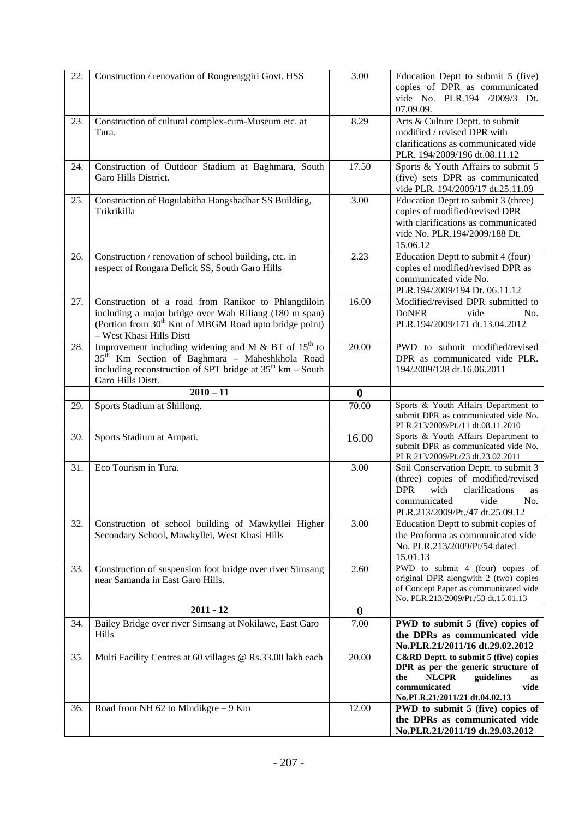| 22.        | Construction / renovation of Rongrenggiri Govt. HSS                                                                                                                                                                   | 3.00             | Education Deptt to submit 5 (five)<br>copies of DPR as communicated<br>vide No. PLR.194 /2009/3 Dt.<br>07.09.09.                                                                                                     |
|------------|-----------------------------------------------------------------------------------------------------------------------------------------------------------------------------------------------------------------------|------------------|----------------------------------------------------------------------------------------------------------------------------------------------------------------------------------------------------------------------|
| 23.        | Construction of cultural complex-cum-Museum etc. at<br>Tura.                                                                                                                                                          | 8.29             | Arts & Culture Deptt. to submit<br>modified / revised DPR with<br>clarifications as communicated vide<br>PLR. 194/2009/196 dt.08.11.12                                                                               |
| 24.        | Construction of Outdoor Stadium at Baghmara, South<br>Garo Hills District.                                                                                                                                            | 17.50            | Sports & Youth Affairs to submit 5<br>(five) sets DPR as communicated<br>vide PLR. 194/2009/17 dt.25.11.09                                                                                                           |
| 25.        | Construction of Bogulabitha Hangshadhar SS Building,<br>Trikrikilla                                                                                                                                                   | 3.00             | Education Deptt to submit 3 (three)<br>copies of modified/revised DPR<br>with clarifications as communicated<br>vide No. PLR.194/2009/188 Dt.<br>15.06.12                                                            |
| 26.        | Construction / renovation of school building, etc. in<br>respect of Rongara Deficit SS, South Garo Hills                                                                                                              | 2.23             | Education Deptt to submit 4 (four)<br>copies of modified/revised DPR as<br>communicated vide No.<br>PLR.194/2009/194 Dt. 06.11.12                                                                                    |
| 27.        | Construction of a road from Ranikor to Phlangdiloin<br>including a major bridge over Wah Riliang (180 m span)<br>(Portion from 30 <sup>th</sup> Km of MBGM Road upto bridge point)<br>- West Khasi Hills Distt        | 16.00            | Modified/revised DPR submitted to<br><b>DoNER</b><br>vide<br>No.<br>PLR.194/2009/171 dt.13.04.2012                                                                                                                   |
| 28.        | Improvement including widening and M $\&$ BT of 15 <sup>th</sup> to<br>35 <sup>th</sup> Km Section of Baghmara - Maheshkhola Road<br>including reconstruction of SPT bridge at $35th$ km – South<br>Garo Hills Distt. | 20.00            | PWD to submit modified/revised<br>DPR as communicated vide PLR.<br>194/2009/128 dt.16.06.2011                                                                                                                        |
|            | $2010 - 11$                                                                                                                                                                                                           | $\bf{0}$         |                                                                                                                                                                                                                      |
| 29.        | Sports Stadium at Shillong.                                                                                                                                                                                           | 70.00            | Sports & Youth Affairs Department to                                                                                                                                                                                 |
|            |                                                                                                                                                                                                                       |                  | submit DPR as communicated vide No.<br>PLR.213/2009/Pt./11 dt.08.11.2010                                                                                                                                             |
| 30.        | Sports Stadium at Ampati.                                                                                                                                                                                             | 16.00            | Sports & Youth Affairs Department to<br>submit DPR as communicated vide No.<br>PLR.213/2009/Pt./23 dt.23.02.2011                                                                                                     |
| 31.        | Eco Tourism in Tura.                                                                                                                                                                                                  | 3.00             | Soil Conservation Deptt. to submit 3<br>(three) copies of modified/revised<br>with<br><b>DPR</b><br>clarifications<br>as<br>communicated<br>vide<br>No.<br>PLR.213/2009/Pt./47 dt.25.09.12                           |
| 32.        | Construction of school building of Mawkyllei Higher<br>Secondary School, Mawkyllei, West Khasi Hills                                                                                                                  | 3.00             | Education Deptt to submit copies of<br>the Proforma as communicated vide<br>No. PLR.213/2009/Pt/54 dated<br>15.01.13                                                                                                 |
| 33.        | Construction of suspension foot bridge over river Simsang<br>near Samanda in East Garo Hills.                                                                                                                         | 2.60             | PWD to submit 4 (four) copies of<br>original DPR alongwith 2 (two) copies<br>of Concept Paper as communicated vide<br>No. PLR.213/2009/Pt./53 dt.15.01.13                                                            |
|            | $2011 - 12$                                                                                                                                                                                                           | $\boldsymbol{0}$ |                                                                                                                                                                                                                      |
| 34.        | Bailey Bridge over river Simsang at Nokilawe, East Garo<br>Hills                                                                                                                                                      | 7.00             | PWD to submit 5 (five) copies of<br>the DPRs as communicated vide<br>No.PLR.21/2011/16 dt.29.02.2012                                                                                                                 |
| 35.<br>36. | Multi Facility Centres at 60 villages @ Rs.33.00 lakh each<br>Road from NH 62 to Mindikgre - 9 Km                                                                                                                     | 20.00<br>12.00   | C&RD Deptt. to submit 5 (five) copies<br>DPR as per the generic structure of<br><b>NLCPR</b><br>guidelines<br>the<br>as<br>communicated<br>vide<br>No.PLR.21/2011/21 dt.04.02.13<br>PWD to submit 5 (five) copies of |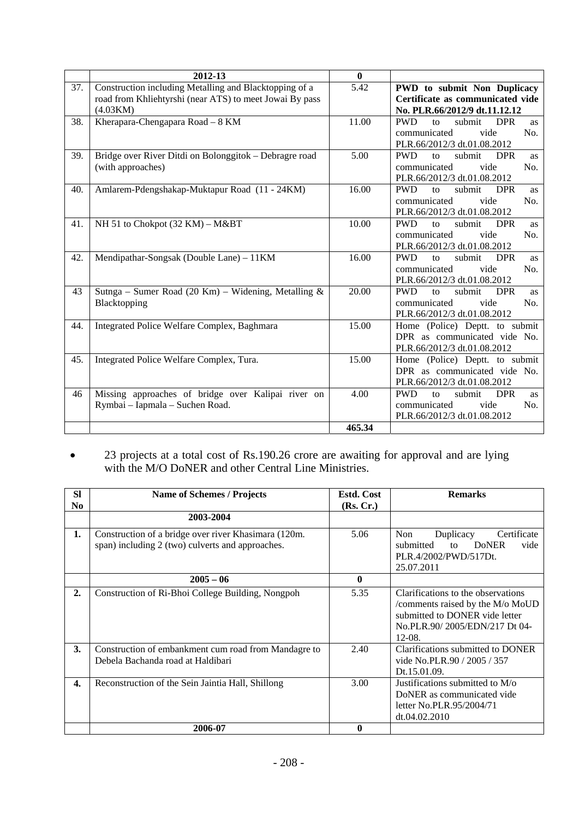|     | 2012-13                                                 | $\mathbf{0}$ |                                                                  |
|-----|---------------------------------------------------------|--------------|------------------------------------------------------------------|
| 37. | Construction including Metalling and Blacktopping of a  | 5.42         | PWD to submit Non Duplicacy                                      |
|     | road from Khliehtyrshi (near ATS) to meet Jowai By pass |              | Certificate as communicated vide                                 |
|     | (4.03KM)                                                |              | No. PLR.66/2012/9 dt.11.12.12                                    |
| 38. | Kherapara-Chengapara Road - 8 KM                        | 11.00        | <b>PWD</b><br>submit<br><b>DPR</b><br>to<br><b>as</b>            |
|     |                                                         |              | vide<br>No.<br>communicated                                      |
|     |                                                         |              | PLR.66/2012/3 dt.01.08.2012                                      |
| 39. | Bridge over River Ditdi on Bolonggitok – Debragre road  | 5.00         | submit<br><b>PWD</b><br><b>DPR</b><br>to<br><b>as</b>            |
|     | (with approaches)                                       |              | vide<br>No.<br>communicated                                      |
|     |                                                         |              | PLR.66/2012/3 dt.01.08.2012                                      |
| 40. | Amlarem-Pdengshakap-Muktapur Road (11 - 24KM)           | 16.00        | <b>PWD</b><br>submit<br><b>DPR</b><br>to<br><b>as</b>            |
|     |                                                         |              | communicated<br>vide<br>No.                                      |
|     |                                                         |              | PLR.66/2012/3 dt.01.08.2012                                      |
| 41. | NH 51 to Chokpot (32 KM) - M&BT                         | 10.00        | <b>PWD</b><br>submit<br><b>DPR</b><br>$\mathsf{to}$<br><b>as</b> |
|     |                                                         |              | communicated<br>vide<br>No.                                      |
|     |                                                         |              | PLR.66/2012/3 dt.01.08.2012                                      |
| 42. | Mendipathar-Songsak (Double Lane) - 11KM                | 16.00        | <b>PWD</b><br>submit<br><b>DPR</b><br>to<br><b>as</b>            |
|     |                                                         |              | communicated<br>vide<br>No.                                      |
|     |                                                         |              | PLR.66/2012/3 dt.01.08.2012                                      |
| 43  | Sutnga – Sumer Road (20 Km) – Widening, Metalling &     | 20.00        | <b>PWD</b><br>submit<br><b>DPR</b><br>to<br><b>as</b>            |
|     | Blacktopping                                            |              | communicated<br>vide<br>No.                                      |
|     |                                                         |              | PLR.66/2012/3 dt.01.08.2012                                      |
| 44. | Integrated Police Welfare Complex, Baghmara             | 15.00        | Home (Police) Deptt. to submit                                   |
|     |                                                         |              | DPR as communicated vide No.                                     |
|     |                                                         |              | PLR.66/2012/3 dt.01.08.2012                                      |
| 45. | Integrated Police Welfare Complex, Tura.                | 15.00        | Home (Police) Deptt. to submit                                   |
|     |                                                         |              | DPR as communicated vide No.                                     |
|     |                                                         |              | PLR.66/2012/3 dt.01.08.2012                                      |
| 46  | Missing approaches of bridge over Kalipai river on      | 4.00         | <b>PWD</b><br>submit<br><b>DPR</b><br>to<br><b>as</b>            |
|     | Rymbai - Iapmala - Suchen Road.                         |              | vide<br>No.<br>communicated                                      |
|     |                                                         |              | PLR.66/2012/3 dt.01.08.2012                                      |
|     |                                                         | 465.34       |                                                                  |

• 23 projects at a total cost of Rs.190.26 crore are awaiting for approval and are lying with the M/O DoNER and other Central Line Ministries.

| <b>SI</b><br>No  | <b>Name of Schemes / Projects</b>                                                                        | <b>Estd. Cost</b><br>(Rs, Cr.) | <b>Remarks</b>                                                                                                                                        |
|------------------|----------------------------------------------------------------------------------------------------------|--------------------------------|-------------------------------------------------------------------------------------------------------------------------------------------------------|
|                  | 2003-2004                                                                                                |                                |                                                                                                                                                       |
| 1.               | Construction of a bridge over river Khasimara (120m.<br>span) including 2 (two) culverts and approaches. | 5.06                           | <b>Non</b><br>Duplicacy<br>Certificate<br>submitted<br><b>DoNER</b><br>vide<br>to<br>PLR.4/2002/PWD/517Dt.<br>25.07.2011                              |
|                  | $2005 - 06$                                                                                              | $\bf{0}$                       |                                                                                                                                                       |
| $\overline{2}$ . | Construction of Ri-Bhoi College Building, Nongpoh                                                        | 5.35                           | Clarifications to the observations<br>/comments raised by the M/o MoUD<br>submitted to DONER vide letter<br>No.PLR.90/2005/EDN/217 Dt 04-<br>$12-08.$ |
| 3.               | Construction of embankment cum road from Mandagre to<br>Debela Bachanda road at Haldibari                | 2.40                           | Clarifications submitted to DONER<br>vide No.PLR.90 / 2005 / 357<br>Dt.15.01.09.                                                                      |
| 4.               | Reconstruction of the Sein Jaintia Hall, Shillong                                                        | 3.00                           | Justifications submitted to M/o<br>DoNER as communicated vide<br>letter No.PLR.95/2004/71<br>dt.04.02.2010                                            |
|                  | 2006-07                                                                                                  | 0                              |                                                                                                                                                       |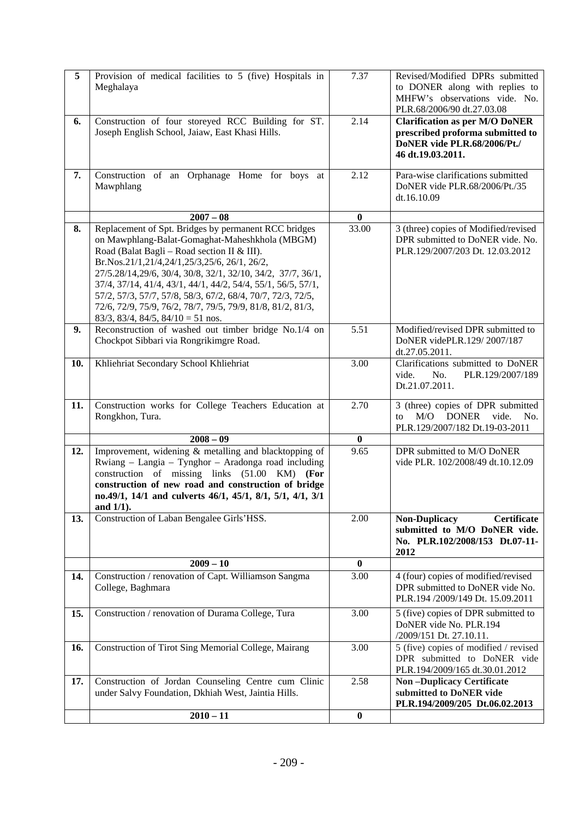| 5   | Provision of medical facilities to 5 (five) Hospitals in<br>Meghalaya                                                                                                                                                                                                                                                                                                                                                                                                                                              | 7.37             | Revised/Modified DPRs submitted<br>to DONER along with replies to<br>MHFW's observations vide. No.<br>PLR.68/2006/90 dt.27.03.08 |
|-----|--------------------------------------------------------------------------------------------------------------------------------------------------------------------------------------------------------------------------------------------------------------------------------------------------------------------------------------------------------------------------------------------------------------------------------------------------------------------------------------------------------------------|------------------|----------------------------------------------------------------------------------------------------------------------------------|
| 6.  | Construction of four storeyed RCC Building for ST.<br>Joseph English School, Jaiaw, East Khasi Hills.                                                                                                                                                                                                                                                                                                                                                                                                              | 2.14             | <b>Clarification as per M/O DoNER</b><br>prescribed proforma submitted to<br>DoNER vide PLR.68/2006/Pt./<br>46 dt.19.03.2011.    |
| 7.  | Construction of an Orphanage Home for boys at<br>Mawphlang                                                                                                                                                                                                                                                                                                                                                                                                                                                         | 2.12             | Para-wise clarifications submitted<br>DoNER vide PLR.68/2006/Pt./35<br>dt.16.10.09                                               |
|     | $2007 - 08$                                                                                                                                                                                                                                                                                                                                                                                                                                                                                                        | $\bf{0}$         |                                                                                                                                  |
| 8.  | Replacement of Spt. Bridges by permanent RCC bridges<br>on Mawphlang-Balat-Gomaghat-Maheshkhola (MBGM)<br>Road (Balat Bagli – Road section II & III).<br>Br.Nos.21/1,21/4,24/1,25/3,25/6, 26/1, 26/2,<br>27/5.28/14,29/6, 30/4, 30/8, 32/1, 32/10, 34/2, 37/7, 36/1,<br>37/4, 37/14, 41/4, 43/1, 44/1, 44/2, 54/4, 55/1, 56/5, 57/1,<br>57/2, 57/3, 57/7, 57/8, 58/3, 67/2, 68/4, 70/7, 72/3, 72/5,<br>72/6, 72/9, 75/9, 76/2, 78/7, 79/5, 79/9, 81/8, 81/2, 81/3,<br>$83/3$ , $83/4$ , $84/5$ , $84/10 = 51$ nos. | 33.00            | 3 (three) copies of Modified/revised<br>DPR submitted to DoNER vide. No.<br>PLR.129/2007/203 Dt. 12.03.2012                      |
| 9.  | Reconstruction of washed out timber bridge No.1/4 on<br>Chockpot Sibbari via Rongrikimgre Road.                                                                                                                                                                                                                                                                                                                                                                                                                    | 5.51             | Modified/revised DPR submitted to<br>DoNER videPLR.129/2007/187<br>dt.27.05.2011.                                                |
| 10. | Khliehriat Secondary School Khliehriat                                                                                                                                                                                                                                                                                                                                                                                                                                                                             | 3.00             | Clarifications submitted to DoNER<br>vide.<br>No.<br>PLR.129/2007/189<br>Dt.21.07.2011.                                          |
| 11. | Construction works for College Teachers Education at<br>Rongkhon, Tura.                                                                                                                                                                                                                                                                                                                                                                                                                                            | 2.70             | 3 (three) copies of DPR submitted<br>M/O<br><b>DONER</b><br>vide.<br>No.<br>to<br>PLR.129/2007/182 Dt.19-03-2011                 |
|     | $2008 - 09$                                                                                                                                                                                                                                                                                                                                                                                                                                                                                                        | $\mathbf{0}$     |                                                                                                                                  |
| 12. | Improvement, widening & metalling and blacktopping of<br>Rwiang – Langia – Tynghor – Aradonga road including<br>construction of missing links (51.00 KM) (For<br>construction of new road and construction of bridge<br>no.49/1, 14/1 and culverts 46/1, 45/1, 8/1, 5/1, 4/1, 3/1<br>and $1/1$ ).                                                                                                                                                                                                                  | 9.65             | DPR submitted to M/O DoNER<br>vide PLR. 102/2008/49 dt.10.12.09                                                                  |
| 13. | Construction of Laban Bengalee Girls'HSS.                                                                                                                                                                                                                                                                                                                                                                                                                                                                          | 2.00             | Non-Duplicacy<br><b>Certificate</b><br>submitted to M/O DoNER vide.<br>No. PLR.102/2008/153 Dt.07-11-<br>2012                    |
|     | $2009 - 10$                                                                                                                                                                                                                                                                                                                                                                                                                                                                                                        | $\bf{0}$         |                                                                                                                                  |
| 14. | Construction / renovation of Capt. Williamson Sangma<br>College, Baghmara                                                                                                                                                                                                                                                                                                                                                                                                                                          | 3.00             | 4 (four) copies of modified/revised<br>DPR submitted to DoNER vide No.<br>PLR.194 /2009/149 Dt. 15.09.2011                       |
| 15. | Construction / renovation of Durama College, Tura                                                                                                                                                                                                                                                                                                                                                                                                                                                                  | 3.00             | 5 (five) copies of DPR submitted to<br>DoNER vide No. PLR.194<br>/2009/151 Dt. 27.10.11.                                         |
| 16. | Construction of Tirot Sing Memorial College, Mairang                                                                                                                                                                                                                                                                                                                                                                                                                                                               | 3.00             | 5 (five) copies of modified / revised<br>DPR submitted to DoNER vide<br>PLR.194/2009/165 dt.30.01.2012                           |
| 17. | Construction of Jordan Counseling Centre cum Clinic<br>under Salvy Foundation, Dkhiah West, Jaintia Hills.                                                                                                                                                                                                                                                                                                                                                                                                         | 2.58             | <b>Non-Duplicacy Certificate</b><br>submitted to DoNER vide<br>PLR.194/2009/205 Dt.06.02.2013                                    |
|     | $2010 - 11$                                                                                                                                                                                                                                                                                                                                                                                                                                                                                                        | $\boldsymbol{0}$ |                                                                                                                                  |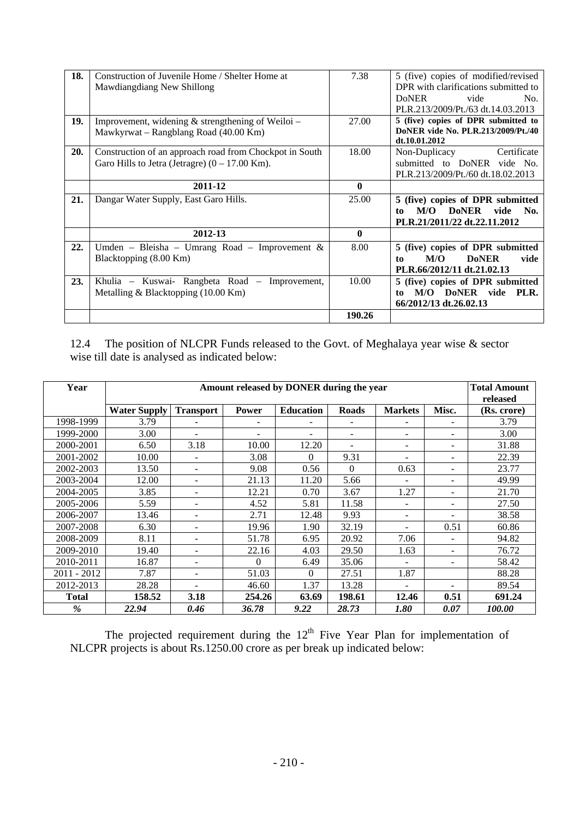| 18. | Construction of Juvenile Home / Shelter Home at<br>Mawdiangdiang New Shillong | 7.38         | 5 (five) copies of modified/revised<br>DPR with clarifications submitted to |
|-----|-------------------------------------------------------------------------------|--------------|-----------------------------------------------------------------------------|
|     |                                                                               |              | <b>DoNER</b><br>vide<br>N <sub>0</sub>                                      |
|     |                                                                               |              | PLR.213/2009/Pt./63 dt.14.03.2013                                           |
| 19. | Improvement, widening $\&$ strengthening of Weiloi –                          | 27.00        | 5 (five) copies of DPR submitted to                                         |
|     | Mawkyrwat – Rangblang Road (40.00 Km)                                         |              | DoNER vide No. PLR.213/2009/Pt./40<br>dt.10.01.2012                         |
| 20. | Construction of an approach road from Chockpot in South                       | 18.00        | Certificate<br>Non-Duplicacy                                                |
|     | Garo Hills to Jetra (Jetragre) $(0 - 17.00 \text{ Km})$ .                     |              | submitted to DoNER vide No.                                                 |
|     |                                                                               |              | PLR.213/2009/Pt./60 dt.18.02.2013                                           |
|     | 2011-12                                                                       | $\mathbf{0}$ |                                                                             |
| 21. | Dangar Water Supply, East Garo Hills.                                         | 25.00        | 5 (five) copies of DPR submitted                                            |
|     |                                                                               |              | M/O<br><b>DoNER</b><br>vide<br>No.<br>to                                    |
|     |                                                                               |              | PLR.21/2011/22 dt.22.11.2012                                                |
|     | 2012-13                                                                       | $\mathbf{0}$ |                                                                             |
| 22. | Umden – Bleisha – Umrang Road – Improvement $\&$                              | 8.00         | 5 (five) copies of DPR submitted                                            |
|     | Blacktopping (8.00 Km)                                                        |              | M/O<br><b>DoNER</b><br>vide<br>to                                           |
|     |                                                                               |              | PLR.66/2012/11 dt.21.02.13                                                  |
| 23. | Khulia – Kuswai- Rangbeta Road – Improvement,                                 | 10.00        | 5 (five) copies of DPR submitted                                            |
|     | Metalling & Blacktopping (10.00 Km)                                           |              | DoNER vide<br>M/O<br>PLR.<br>to.                                            |
|     |                                                                               |              | 66/2012/13 dt.26.02.13                                                      |
|     |                                                                               | 190.26       |                                                                             |

12.4 The position of NLCPR Funds released to the Govt. of Meghalaya year wise & sector wise till date is analysed as indicated below:

| Year          | Amount released by DONER during the year |                  |              |                  |              |                | <b>Total Amount</b><br>released |             |
|---------------|------------------------------------------|------------------|--------------|------------------|--------------|----------------|---------------------------------|-------------|
|               | <b>Water Supply</b>                      | <b>Transport</b> | <b>Power</b> | <b>Education</b> | <b>Roads</b> | <b>Markets</b> | Misc.                           | (Rs. crore) |
| 1998-1999     | 3.79                                     |                  |              |                  |              |                | $\overline{\phantom{m}}$        | 3.79        |
| 1999-2000     | 3.00                                     |                  |              |                  |              |                | $\overline{\phantom{a}}$        | 3.00        |
| 2000-2001     | 6.50                                     | 3.18             | 10.00        | 12.20            |              | ۰              | $\overline{\phantom{a}}$        | 31.88       |
| 2001-2002     | 10.00                                    |                  | 3.08         | $\Omega$         | 9.31         |                | $\overline{\phantom{m}}$        | 22.39       |
| 2002-2003     | 13.50                                    | $\sim$           | 9.08         | 0.56             | $\Omega$     | 0.63           | ۰                               | 23.77       |
| 2003-2004     | 12.00                                    | ٠                | 21.13        | 11.20            | 5.66         | ۰              | ۰                               | 49.99       |
| 2004-2005     | 3.85                                     |                  | 12.21        | 0.70             | 3.67         | 1.27           | $\overline{\phantom{a}}$        | 21.70       |
| 2005-2006     | 5.59                                     |                  | 4.52         | 5.81             | 11.58        |                | ۰                               | 27.50       |
| 2006-2007     | 13.46                                    | $\equiv$         | 2.71         | 12.48            | 9.93         | Ξ.             | $\equiv$                        | 38.58       |
| 2007-2008     | 6.30                                     |                  | 19.96        | 1.90             | 32.19        |                | 0.51                            | 60.86       |
| 2008-2009     | 8.11                                     |                  | 51.78        | 6.95             | 20.92        | 7.06           | $\blacksquare$                  | 94.82       |
| 2009-2010     | 19.40                                    | ٠                | 22.16        | 4.03             | 29.50        | 1.63           | $\qquad \qquad -$               | 76.72       |
| 2010-2011     | 16.87                                    |                  | $\Omega$     | 6.49             | 35.06        |                | $\overline{\phantom{m}}$        | 58.42       |
| 2011 - 2012   | 7.87                                     |                  | 51.03        | $\Omega$         | 27.51        | 1.87           |                                 | 88.28       |
| 2012-2013     | 28.28                                    |                  | 46.60        | 1.37             | 13.28        |                | $\blacksquare$                  | 89.54       |
| <b>Total</b>  | 158.52                                   | 3.18             | 254.26       | 63.69            | 198.61       | 12.46          | 0.51                            | 691.24      |
| $\frac{9}{6}$ | 22.94                                    | 0.46             | 36.78        | 9.22             | 28.73        | 1.80           | 0.07                            | 100.00      |

The projected requirement during the  $12<sup>th</sup>$  Five Year Plan for implementation of NLCPR projects is about Rs.1250.00 crore as per break up indicated below: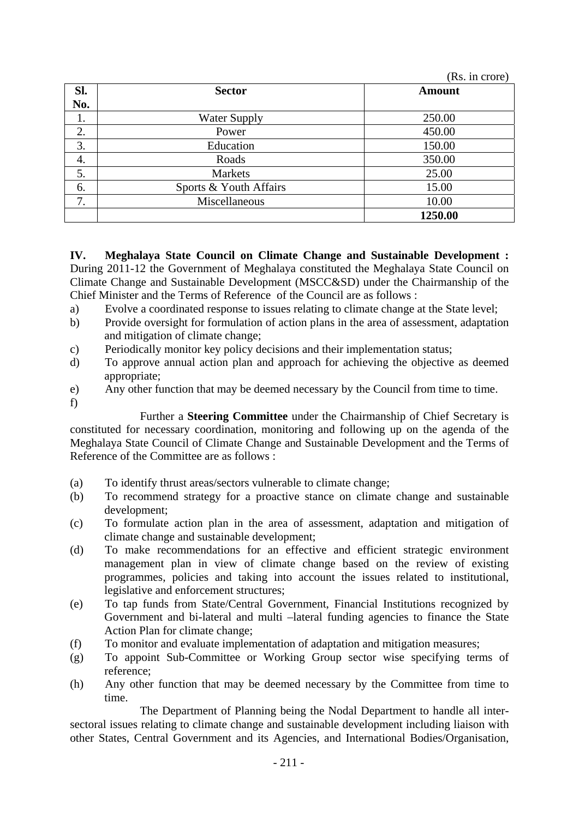|     |                        | (Rs. in crore) |
|-----|------------------------|----------------|
| Sl. | <b>Sector</b>          | <b>Amount</b>  |
| No. |                        |                |
| 1.  | <b>Water Supply</b>    | 250.00         |
| 2.  | Power                  | 450.00         |
| 3.  | Education              | 150.00         |
| 4.  | Roads                  | 350.00         |
| 5.  | <b>Markets</b>         | 25.00          |
| 6.  | Sports & Youth Affairs | 15.00          |
| 7.  | Miscellaneous          | 10.00          |
|     |                        | 1250.00        |

**IV. Meghalaya State Council on Climate Change and Sustainable Development :**  During 2011-12 the Government of Meghalaya constituted the Meghalaya State Council on Climate Change and Sustainable Development (MSCC&SD) under the Chairmanship of the Chief Minister and the Terms of Reference of the Council are as follows :

- a) Evolve a coordinated response to issues relating to climate change at the State level;
- b) Provide oversight for formulation of action plans in the area of assessment, adaptation and mitigation of climate change;
- c) Periodically monitor key policy decisions and their implementation status;
- d) To approve annual action plan and approach for achieving the objective as deemed appropriate;
- e) Any other function that may be deemed necessary by the Council from time to time.
- f)

Further a **Steering Committee** under the Chairmanship of Chief Secretary is

constituted for necessary coordination, monitoring and following up on the agenda of the Meghalaya State Council of Climate Change and Sustainable Development and the Terms of Reference of the Committee are as follows :

- (a) To identify thrust areas/sectors vulnerable to climate change;
- (b) To recommend strategy for a proactive stance on climate change and sustainable development;
- (c) To formulate action plan in the area of assessment, adaptation and mitigation of climate change and sustainable development;
- (d) To make recommendations for an effective and efficient strategic environment management plan in view of climate change based on the review of existing programmes, policies and taking into account the issues related to institutional, legislative and enforcement structures;
- (e) To tap funds from State/Central Government, Financial Institutions recognized by Government and bi-lateral and multi –lateral funding agencies to finance the State Action Plan for climate change;
- (f) To monitor and evaluate implementation of adaptation and mitigation measures;
- (g) To appoint Sub-Committee or Working Group sector wise specifying terms of reference;
- (h) Any other function that may be deemed necessary by the Committee from time to time.

 The Department of Planning being the Nodal Department to handle all intersectoral issues relating to climate change and sustainable development including liaison with other States, Central Government and its Agencies, and International Bodies/Organisation,